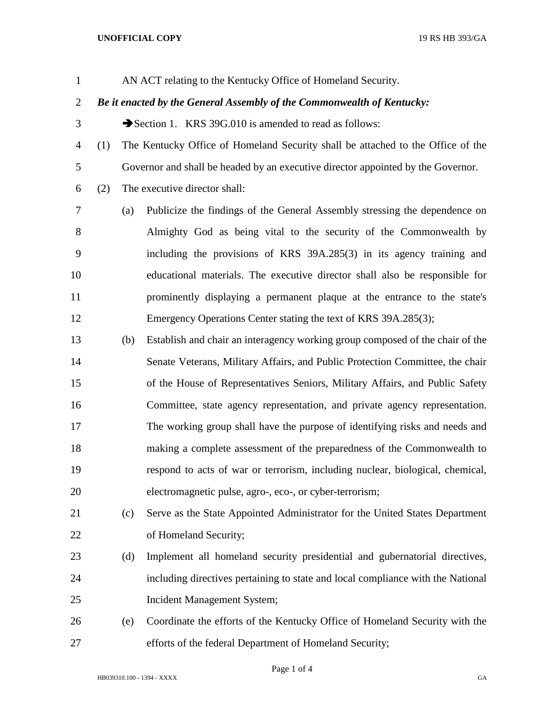## **UNOFFICIAL COPY** 19 RS HB 393/GA

AN ACT relating to the Kentucky Office of Homeland Security.

## *Be it enacted by the General Assembly of the Commonwealth of Kentucky:*

3 Section 1. KRS 39G.010 is amended to read as follows:

- (1) The Kentucky Office of Homeland Security shall be attached to the Office of the Governor and shall be headed by an executive director appointed by the Governor.
- (2) The executive director shall:

 (a) Publicize the findings of the General Assembly stressing the dependence on Almighty God as being vital to the security of the Commonwealth by including the provisions of KRS 39A.285(3) in its agency training and educational materials. The executive director shall also be responsible for prominently displaying a permanent plaque at the entrance to the state's Emergency Operations Center stating the text of KRS 39A.285(3);

- (b) Establish and chair an interagency working group composed of the chair of the Senate Veterans, Military Affairs, and Public Protection Committee, the chair of the House of Representatives Seniors, Military Affairs, and Public Safety Committee, state agency representation, and private agency representation. The working group shall have the purpose of identifying risks and needs and making a complete assessment of the preparedness of the Commonwealth to respond to acts of war or terrorism, including nuclear, biological, chemical, electromagnetic pulse, agro-, eco-, or cyber-terrorism;
- (c) Serve as the State Appointed Administrator for the United States Department 22 of Homeland Security;
- (d) Implement all homeland security presidential and gubernatorial directives, including directives pertaining to state and local compliance with the National Incident Management System;
- (e) Coordinate the efforts of the Kentucky Office of Homeland Security with the efforts of the federal Department of Homeland Security;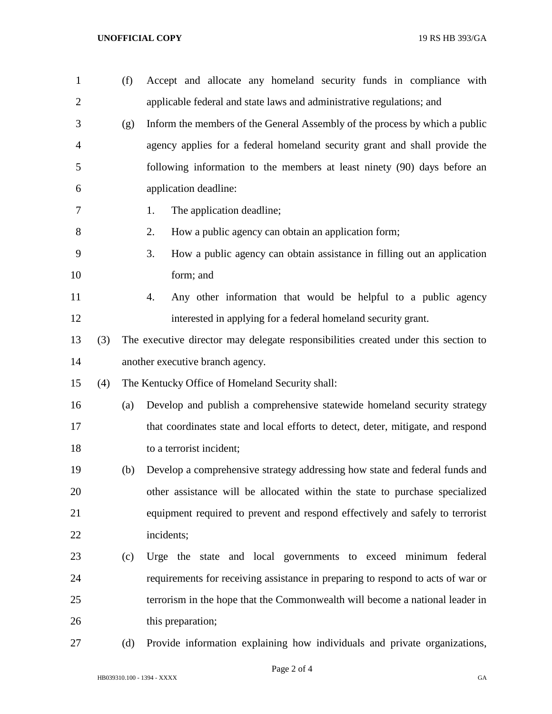| $\mathbf{1}$   |     | (f) | Accept and allocate any homeland security funds in compliance with                 |  |  |  |
|----------------|-----|-----|------------------------------------------------------------------------------------|--|--|--|
| $\overline{2}$ |     |     | applicable federal and state laws and administrative regulations; and              |  |  |  |
| 3              |     | (g) | Inform the members of the General Assembly of the process by which a public        |  |  |  |
| $\overline{4}$ |     |     | agency applies for a federal homeland security grant and shall provide the         |  |  |  |
| 5              |     |     | following information to the members at least ninety (90) days before an           |  |  |  |
| 6              |     |     | application deadline:                                                              |  |  |  |
| 7              |     |     | The application deadline;<br>1.                                                    |  |  |  |
| 8              |     |     | How a public agency can obtain an application form;<br>2.                          |  |  |  |
| 9              |     |     | 3.<br>How a public agency can obtain assistance in filling out an application      |  |  |  |
| 10             |     |     | form; and                                                                          |  |  |  |
| 11             |     |     | Any other information that would be helpful to a public agency<br>4.               |  |  |  |
| 12             |     |     | interested in applying for a federal homeland security grant.                      |  |  |  |
| 13             | (3) |     | The executive director may delegate responsibilities created under this section to |  |  |  |
| 14             |     |     | another executive branch agency.                                                   |  |  |  |
| 15             | (4) |     | The Kentucky Office of Homeland Security shall:                                    |  |  |  |
| 16             |     | (a) | Develop and publish a comprehensive statewide homeland security strategy           |  |  |  |
| 17             |     |     | that coordinates state and local efforts to detect, deter, mitigate, and respond   |  |  |  |
| 18             |     |     | to a terrorist incident;                                                           |  |  |  |
| 19             |     | (b) | Develop a comprehensive strategy addressing how state and federal funds and        |  |  |  |
| 20             |     |     | other assistance will be allocated within the state to purchase specialized        |  |  |  |
| 21             |     |     | equipment required to prevent and respond effectively and safely to terrorist      |  |  |  |
| 22             |     |     | incidents;                                                                         |  |  |  |
| 23             |     | (c) | Urge the state and local governments to exceed minimum federal                     |  |  |  |
| 24             |     |     | requirements for receiving assistance in preparing to respond to acts of war or    |  |  |  |
| 25             |     |     | terrorism in the hope that the Commonwealth will become a national leader in       |  |  |  |
| 26             |     |     | this preparation;                                                                  |  |  |  |
| 27             |     | (d) | Provide information explaining how individuals and private organizations,          |  |  |  |

Page 2 of 4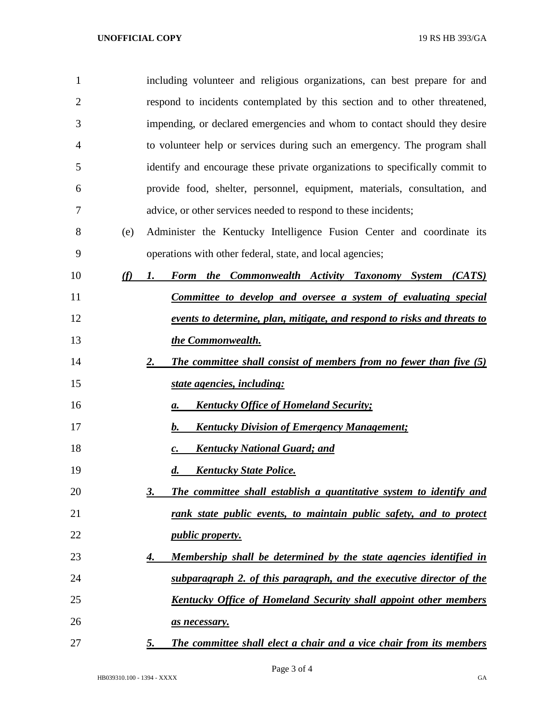| $\mathbf{1}$   |     | including volunteer and religious organizations, can best prepare for and    |
|----------------|-----|------------------------------------------------------------------------------|
| $\overline{2}$ |     | respond to incidents contemplated by this section and to other threatened,   |
| 3              |     | impending, or declared emergencies and whom to contact should they desire    |
| $\overline{4}$ |     | to volunteer help or services during such an emergency. The program shall    |
| 5              |     | identify and encourage these private organizations to specifically commit to |
| 6              |     | provide food, shelter, personnel, equipment, materials, consultation, and    |
| 7              |     | advice, or other services needed to respond to these incidents;              |
| 8              | (e) | Administer the Kentucky Intelligence Fusion Center and coordinate its        |
| 9              |     | operations with other federal, state, and local agencies;                    |
| 10             | (f) | Form the Commonwealth Activity Taxonomy System (CATS)<br>1.                  |
| 11             |     | <b>Committee to develop and oversee a system of evaluating special</b>       |
| 12             |     | events to determine, plan, mitigate, and respond to risks and threats to     |
| 13             |     | the Commonwealth.                                                            |
| 14             |     | The committee shall consist of members from no fewer than five (5)<br>2.     |
| 15             |     | state agencies, including:                                                   |
| 16             |     | <b>Kentucky Office of Homeland Security;</b><br>a.                           |
| 17             |     | <b>Kentucky Division of Emergency Management;</b><br>$\bm{b}$ .              |
| 18             |     | <b>Kentucky National Guard; and</b><br>$\mathbf{c}$ .                        |
| 19             |     | <b>Kentucky State Police.</b><br>$\boldsymbol{d}$ .                          |
| 20             |     | The committee shall establish a quantitative system to identify and<br>3.    |
| 21             |     | rank state public events, to maintain public safety, and to protect          |
| 22             |     | <i>public property.</i>                                                      |
| 23             |     | Membership shall be determined by the state agencies identified in<br>4.     |
| 24             |     | subparagraph 2. of this paragraph, and the executive director of the         |
| 25             |     | <b>Kentucky Office of Homeland Security shall appoint other members</b>      |
| 26             |     | as necessary.                                                                |
| 27             |     | The committee shall elect a chair and a vice chair from its members<br>5.    |